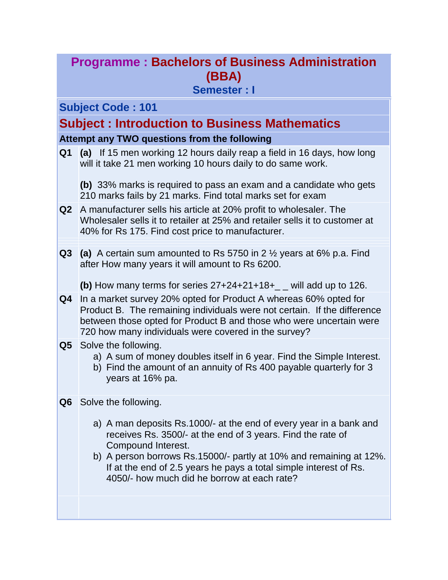# **Programme : Bachelors of Business Administration (BBA)**

### **Semester : I**

### **Subject Code : 101**

## **Subject : Introduction to Business Mathematics**

#### **Attempt any TWO questions from the following**

**Q1 (a)** If 15 men working 12 hours daily reap a field in 16 days, how long will it take 21 men working 10 hours daily to do same work.

**(b)** 33% marks is required to pass an exam and a candidate who gets 210 marks fails by 21 marks. Find total marks set for exam

- **Q2** A manufacturer sells his article at 20% profit to wholesaler. The Wholesaler sells it to retailer at 25% and retailer sells it to customer at 40% for Rs 175. Find cost price to manufacturer.
- **Q3 (a)** A certain sum amounted to Rs 5750 in 2 ½ years at 6% p.a. Find after How many years it will amount to Rs 6200.

**(b)** How many terms for series 27+24+21+18+\_ \_ will add up to 126.

- **Q4** In a market survey 20% opted for Product A whereas 60% opted for Product B. The remaining individuals were not certain. If the difference between those opted for Product B and those who were uncertain were 720 how many individuals were covered in the survey?
- **Q5** Solve the following.
	- a) A sum of money doubles itself in 6 year. Find the Simple Interest.
	- b) Find the amount of an annuity of Rs 400 payable quarterly for 3 years at 16% pa.
- **Q6** Solve the following.
	- a) A man deposits Rs.1000/- at the end of every year in a bank and receives Rs. 3500/- at the end of 3 years. Find the rate of Compound Interest.
	- b) A person borrows Rs.15000/- partly at 10% and remaining at 12%. If at the end of 2.5 years he pays a total simple interest of Rs. 4050/- how much did he borrow at each rate?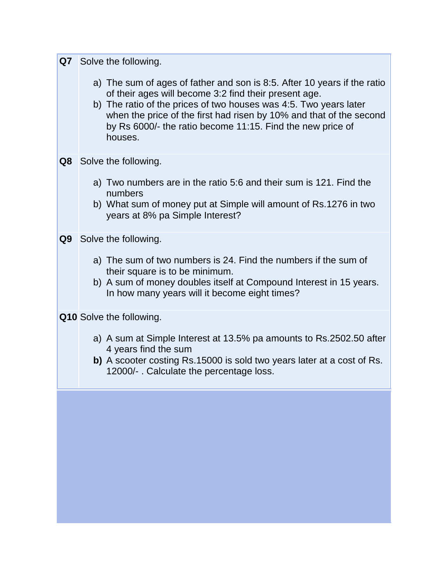|    | Q7 Solve the following.                                                                                                                                                                                                                                                                                                                                |
|----|--------------------------------------------------------------------------------------------------------------------------------------------------------------------------------------------------------------------------------------------------------------------------------------------------------------------------------------------------------|
|    | a) The sum of ages of father and son is 8:5. After 10 years if the ratio<br>of their ages will become 3:2 find their present age.<br>b) The ratio of the prices of two houses was 4:5. Two years later<br>when the price of the first had risen by 10% and that of the second<br>by Rs 6000/- the ratio become 11:15. Find the new price of<br>houses. |
| Q8 | Solve the following.                                                                                                                                                                                                                                                                                                                                   |
|    | a) Two numbers are in the ratio 5:6 and their sum is 121. Find the<br>numbers                                                                                                                                                                                                                                                                          |
|    | b) What sum of money put at Simple will amount of Rs.1276 in two<br>years at 8% pa Simple Interest?                                                                                                                                                                                                                                                    |
| Q9 | Solve the following.                                                                                                                                                                                                                                                                                                                                   |
|    | a) The sum of two numbers is 24. Find the numbers if the sum of<br>their square is to be minimum.                                                                                                                                                                                                                                                      |
|    | b) A sum of money doubles itself at Compound Interest in 15 years.<br>In how many years will it become eight times?                                                                                                                                                                                                                                    |
|    | <b>Q10</b> Solve the following.                                                                                                                                                                                                                                                                                                                        |
|    | a) A sum at Simple Interest at 13.5% pa amounts to Rs.2502.50 after<br>4 years find the sum                                                                                                                                                                                                                                                            |
|    | b) A scooter costing Rs.15000 is sold two years later at a cost of Rs.<br>12000/- . Calculate the percentage loss.                                                                                                                                                                                                                                     |
|    |                                                                                                                                                                                                                                                                                                                                                        |
|    |                                                                                                                                                                                                                                                                                                                                                        |
|    |                                                                                                                                                                                                                                                                                                                                                        |
|    |                                                                                                                                                                                                                                                                                                                                                        |
|    |                                                                                                                                                                                                                                                                                                                                                        |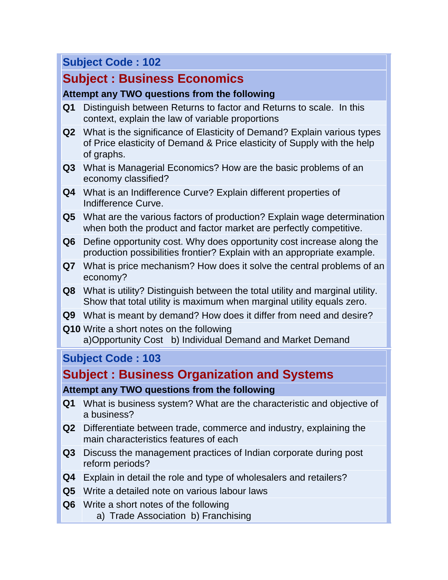## **Subject Code : 102**

# **Subject : Business Economics**

### **Attempt any TWO questions from the following**

- **Q1** Distinguish between Returns to factor and Returns to scale. In this context, explain the law of variable proportions
- **Q2** What is the significance of Elasticity of Demand? Explain various types of Price elasticity of Demand & Price elasticity of Supply with the help of graphs.
- **Q3** What is Managerial Economics? How are the basic problems of an economy classified?
- **Q4** What is an Indifference Curve? Explain different properties of Indifference Curve.
- **Q5** What are the various factors of production? Explain wage determination when both the product and factor market are perfectly competitive.
- **Q6** Define opportunity cost. Why does opportunity cost increase along the production possibilities frontier? Explain with an appropriate example.
- **Q7** What is price mechanism? How does it solve the central problems of an economy?
- **Q8** What is utility? Distinguish between the total utility and marginal utility. Show that total utility is maximum when marginal utility equals zero.
- **Q9** What is meant by demand? How does it differ from need and desire?
- **Q10** Write a short notes on the following a)Opportunity Cost b) Individual Demand and Market Demand

### **Subject Code : 103**

# **Subject : Business Organization and Systems**

### **Attempt any TWO questions from the following**

- **Q1** What is business system? What are the characteristic and objective of a business?
- **Q2** Differentiate between trade, commerce and industry, explaining the main characteristics features of each
- **Q3** Discuss the management practices of Indian corporate during post reform periods?
- **Q4** Explain in detail the role and type of wholesalers and retailers?
- **Q5** Write a detailed note on various labour laws
- **Q6** Write a short notes of the following
	- a) Trade Association b) Franchising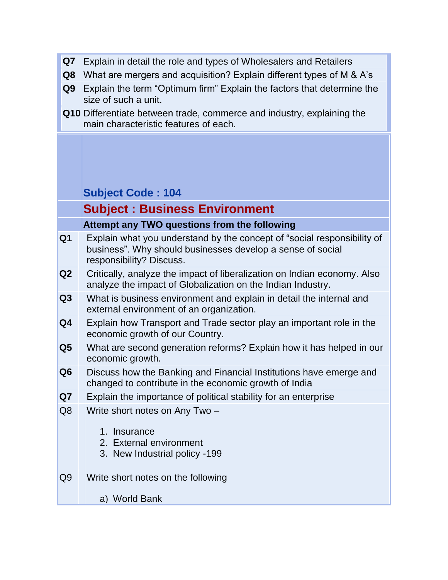| Q7             | Explain in detail the role and types of Wholesalers and Retailers                                                                                                 |
|----------------|-------------------------------------------------------------------------------------------------------------------------------------------------------------------|
| Q8             | What are mergers and acquisition? Explain different types of M & A's                                                                                              |
| Q9             | Explain the term "Optimum firm" Explain the factors that determine the<br>size of such a unit.                                                                    |
|                | Q10 Differentiate between trade, commerce and industry, explaining the<br>main characteristic features of each.                                                   |
|                |                                                                                                                                                                   |
|                |                                                                                                                                                                   |
|                | <b>Subject Code: 104</b>                                                                                                                                          |
|                | <b>Subject: Business Environment</b>                                                                                                                              |
|                | Attempt any TWO questions from the following                                                                                                                      |
| Q <sub>1</sub> | Explain what you understand by the concept of "social responsibility of<br>business". Why should businesses develop a sense of social<br>responsibility? Discuss. |
| Q <sub>2</sub> | Critically, analyze the impact of liberalization on Indian economy. Also<br>analyze the impact of Globalization on the Indian Industry.                           |
| Q <sub>3</sub> | What is business environment and explain in detail the internal and<br>external environment of an organization.                                                   |
| Q4             | Explain how Transport and Trade sector play an important role in the<br>economic growth of our Country.                                                           |
| Q5             | What are second generation reforms? Explain how it has helped in our<br>economic growth.                                                                          |
| Q <sub>6</sub> | Discuss how the Banking and Financial Institutions have emerge and<br>changed to contribute in the economic growth of India                                       |
| Q7             | Explain the importance of political stability for an enterprise                                                                                                   |
| Q8             | Write short notes on Any Two -                                                                                                                                    |
|                | Insurance<br>$1_{-}$                                                                                                                                              |
|                | 3. New Industrial policy -199                                                                                                                                     |
| Q9             | Write short notes on the following                                                                                                                                |
|                | a) World Bank                                                                                                                                                     |
|                | 2. External environment                                                                                                                                           |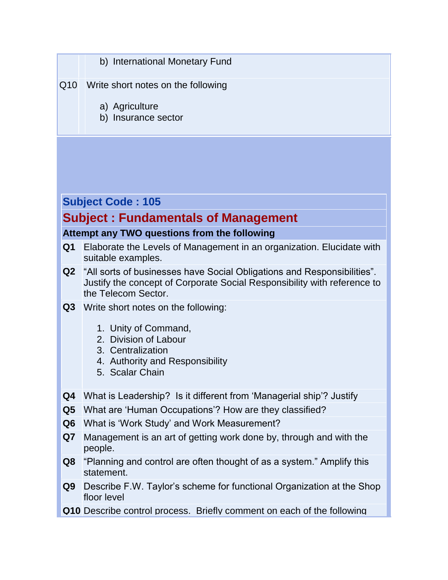|                      | b) International Monetary Fund                                                                                                                                                       |
|----------------------|--------------------------------------------------------------------------------------------------------------------------------------------------------------------------------------|
| Q10                  | Write short notes on the following                                                                                                                                                   |
|                      | a) Agriculture<br>b) Insurance sector                                                                                                                                                |
|                      |                                                                                                                                                                                      |
|                      |                                                                                                                                                                                      |
|                      |                                                                                                                                                                                      |
|                      | <b>Subject Code: 105</b>                                                                                                                                                             |
|                      | <b>Subject: Fundamentals of Management</b>                                                                                                                                           |
|                      | Attempt any TWO questions from the following                                                                                                                                         |
| Q <sub>1</sub>       | Elaborate the Levels of Management in an organization. Elucidate with<br>suitable examples.                                                                                          |
|                      | <b>Q2</b> "All sorts of businesses have Social Obligations and Responsibilities".<br>Justify the concept of Corporate Social Responsibility with reference to<br>the Telecom Sector. |
| Q3                   | Write short notes on the following:                                                                                                                                                  |
|                      | 1. Unity of Command,<br>2. Division of Labour                                                                                                                                        |
|                      | 3. Centralization                                                                                                                                                                    |
|                      | 4. Authority and Responsibility<br>5. Scalar Chain                                                                                                                                   |
|                      |                                                                                                                                                                                      |
| Q4                   | What is Leadership? Is it different from 'Managerial ship'? Justify                                                                                                                  |
| Q <sub>5</sub>       | What are 'Human Occupations'? How are they classified?                                                                                                                               |
| Q <sub>6</sub><br>Q7 | What is 'Work Study' and Work Measurement?<br>Management is an art of getting work done by, through and with the                                                                     |
|                      | people.                                                                                                                                                                              |
| Q8                   | "Planning and control are often thought of as a system." Amplify this<br>statement.                                                                                                  |
| Q9 I                 | Describe F.W. Taylor's scheme for functional Organization at the Shop<br>floor level                                                                                                 |
|                      | Q10 Describe control process. Briefly comment on each of the following                                                                                                               |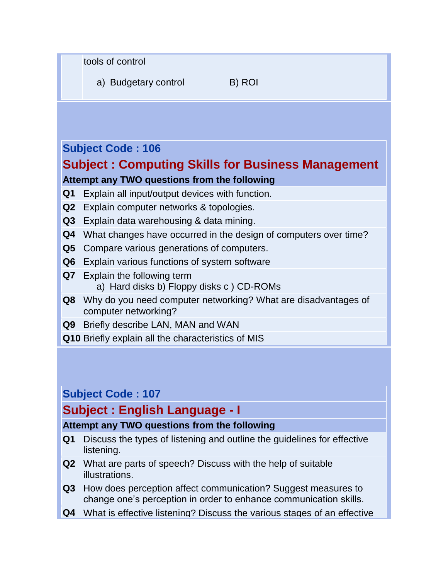tools of control

a) Budgetary control B) ROI

## **Subject Code : 106**

## **Subject : Computing Skills for Business Management**

#### **Attempt any TWO questions from the following**

- **Q1** Explain all input/output devices with function.
- **Q2** Explain computer networks & topologies.
- **Q3** Explain data warehousing & data mining.
- **Q4** What changes have occurred in the design of computers over time?
- **Q5** Compare various generations of computers.
- **Q6** Explain various functions of system software
- **Q7** Explain the following term a) Hard disks b) Floppy disks c ) CD-ROMs
- **Q8** Why do you need computer networking? What are disadvantages of computer networking?
- **Q9** Briefly describe LAN, MAN and WAN
- **Q10** Briefly explain all the characteristics of MIS

### **Subject Code : 107**

## **Subject : English Language - I**

#### **Attempt any TWO questions from the following**

- **Q1** Discuss the types of listening and outline the guidelines for effective listening.
- **Q2** What are parts of speech? Discuss with the help of suitable illustrations.
- **Q3** How does perception affect communication? Suggest measures to change one"s perception in order to enhance communication skills.
- **Q4** What is effective listening? Discuss the various stages of an effective